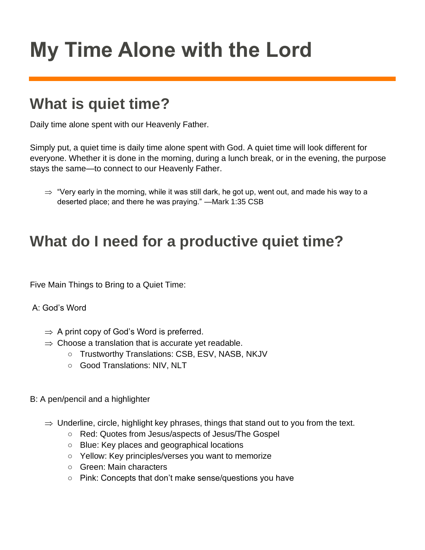# **My Time Alone with the Lord**

# **What is quiet time?**

Daily time alone spent with our Heavenly Father.

Simply put, a quiet time is daily time alone spent with God. A quiet time will look different for everyone. Whether it is done in the morning, during a lunch break, or in the evening, the purpose stays the same—to connect to our Heavenly Father.

 $\Rightarrow$  "Very early in the morning, while it was still dark, he got up, went out, and made his way to a deserted place; and there he was praying." —Mark 1:35 CSB

### **What do I need for a productive quiet time?**

Five Main Things to Bring to a Quiet Time:

#### A: God's Word

- $\Rightarrow$  A print copy of God's Word is preferred.
- $\Rightarrow$  Choose a translation that is accurate yet readable.
	- Trustworthy Translations: CSB, ESV, NASB, NKJV
	- Good Translations: NIV, NLT

#### B: A pen/pencil and a highlighter

- $\Rightarrow$  Underline, circle, highlight key phrases, things that stand out to you from the text.
	- Red: Quotes from Jesus/aspects of Jesus/The Gospel
	- Blue: Key places and geographical locations
	- Yellow: Key principles/verses you want to memorize
	- Green: Main characters
	- Pink: Concepts that don't make sense/questions you have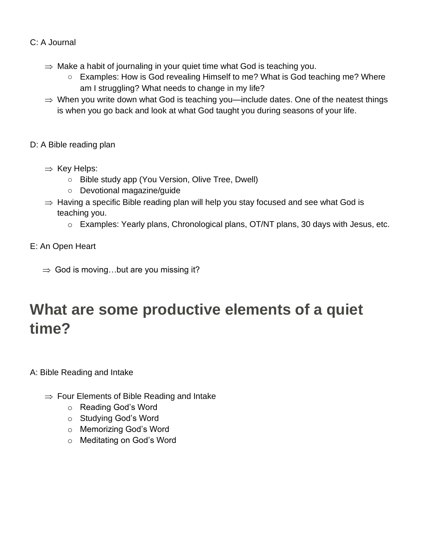#### C: A Journal

- $\Rightarrow$  Make a habit of journaling in your quiet time what God is teaching you.
	- Examples: How is God revealing Himself to me? What is God teaching me? Where am I struggling? What needs to change in my life?
- $\Rightarrow$  When you write down what God is teaching you—include dates. One of the neatest things is when you go back and look at what God taught you during seasons of your life.
- D: A Bible reading plan
	- $\Rightarrow$  Key Helps:
		- Bible study app (You Version, Olive Tree, Dwell)
		- Devotional magazine/guide
	- $\Rightarrow$  Having a specific Bible reading plan will help you stay focused and see what God is teaching you.
		- o Examples: Yearly plans, Chronological plans, OT/NT plans, 30 days with Jesus, etc.
- E: An Open Heart
	- $\Rightarrow$  God is moving...but are you missing it?

# **What are some productive elements of a quiet time?**

A: Bible Reading and Intake

- $\Rightarrow$  Four Elements of Bible Reading and Intake
	- o Reading God's Word
	- o Studying God's Word
	- o Memorizing God's Word
	- o Meditating on God's Word